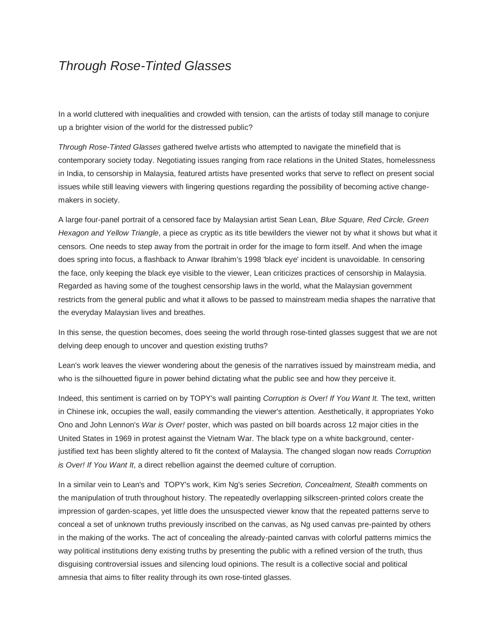## *Through Rose-Tinted Glasses*

In a world cluttered with inequalities and crowded with tension, can the artists of today still manage to conjure up a brighter vision of the world for the distressed public?

*Through Rose-Tinted Glasses* gathered twelve artists who attempted to navigate the minefield that is contemporary society today. Negotiating issues ranging from race relations in the United States, homelessness in India, to censorship in Malaysia, featured artists have presented works that serve to reflect on present social issues while still leaving viewers with lingering questions regarding the possibility of becoming active changemakers in society.

A large four-panel portrait of a censored face by Malaysian artist Sean Lean, *Blue Square, Red Circle, Green Hexagon and Yellow Triangle*, a piece as cryptic as its title bewilders the viewer not by what it shows but what it censors. One needs to step away from the portrait in order for the image to form itself. And when the image does spring into focus, a flashback to Anwar Ibrahim's 1998 'black eye' incident is unavoidable. In censoring the face, only keeping the black eye visible to the viewer, Lean criticizes practices of censorship in Malaysia. Regarded as having some of the toughest censorship laws in the world, what the Malaysian government restricts from the general public and what it allows to be passed to mainstream media shapes the narrative that the everyday Malaysian lives and breathes.

In this sense, the question becomes, does seeing the world through rose-tinted glasses suggest that we are not delving deep enough to uncover and question existing truths?

Lean's work leaves the viewer wondering about the genesis of the narratives issued by mainstream media, and who is the silhouetted figure in power behind dictating what the public see and how they perceive it.

Indeed, this sentiment is carried on by TOPY's wall painting *Corruption is Over! If You Want It.* The text, written in Chinese ink, occupies the wall, easily commanding the viewer's attention. Aesthetically, it appropriates Yoko Ono and John Lennon's *War is Over!* poster, which was pasted on bill boards across 12 major cities in the United States in 1969 in protest against the Vietnam War. The black type on a white background, centerjustified text has been slightly altered to fit the context of Malaysia. The changed slogan now reads *Corruption is Over! If You Want It*, a direct rebellion against the deemed culture of corruption.

In a similar vein to Lean's and TOPY's work, Kim Ng's series *Secretion, Concealment, Stealth* comments on the manipulation of truth throughout history. The repeatedly overlapping silkscreen-printed colors create the impression of garden-scapes, yet little does the unsuspected viewer know that the repeated patterns serve to conceal a set of unknown truths previously inscribed on the canvas, as Ng used canvas pre-painted by others in the making of the works. The act of concealing the already-painted canvas with colorful patterns mimics the way political institutions deny existing truths by presenting the public with a refined version of the truth, thus disguising controversial issues and silencing loud opinions. The result is a collective social and political amnesia that aims to filter reality through its own rose-tinted glasses.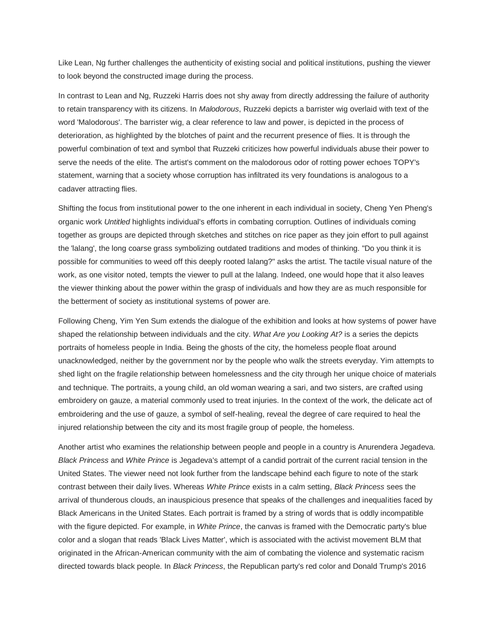Like Lean, Ng further challenges the authenticity of existing social and political institutions, pushing the viewer to look beyond the constructed image during the process.

In contrast to Lean and Ng, Ruzzeki Harris does not shy away from directly addressing the failure of authority to retain transparency with its citizens. In *Malodorous*, Ruzzeki depicts a barrister wig overlaid with text of the word 'Malodorous'. The barrister wig, a clear reference to law and power, is depicted in the process of deterioration, as highlighted by the blotches of paint and the recurrent presence of flies. It is through the powerful combination of text and symbol that Ruzzeki criticizes how powerful individuals abuse their power to serve the needs of the elite. The artist's comment on the malodorous odor of rotting power echoes TOPY's statement, warning that a society whose corruption has infiltrated its very foundations is analogous to a cadaver attracting flies.

Shifting the focus from institutional power to the one inherent in each individual in society, Cheng Yen Pheng's organic work *Untitled* highlights individual's efforts in combating corruption. Outlines of individuals coming together as groups are depicted through sketches and stitches on rice paper as they join effort to pull against the 'lalang', the long coarse grass symbolizing outdated traditions and modes of thinking. "Do you think it is possible for communities to weed off this deeply rooted lalang?" asks the artist. The tactile visual nature of the work, as one visitor noted, tempts the viewer to pull at the lalang. Indeed, one would hope that it also leaves the viewer thinking about the power within the grasp of individuals and how they are as much responsible for the betterment of society as institutional systems of power are.

Following Cheng, Yim Yen Sum extends the dialogue of the exhibition and looks at how systems of power have shaped the relationship between individuals and the city. *What Are you Looking At?* is a series the depicts portraits of homeless people in India. Being the ghosts of the city, the homeless people float around unacknowledged, neither by the government nor by the people who walk the streets everyday. Yim attempts to shed light on the fragile relationship between homelessness and the city through her unique choice of materials and technique. The portraits, a young child, an old woman wearing a sari, and two sisters, are crafted using embroidery on gauze, a material commonly used to treat injuries. In the context of the work, the delicate act of embroidering and the use of gauze, a symbol of self-healing, reveal the degree of care required to heal the injured relationship between the city and its most fragile group of people, the homeless.

Another artist who examines the relationship between people and people in a country is Anurendera Jegadeva. *Black Princess* and *White Prince* is Jegadeva's attempt of a candid portrait of the current racial tension in the United States. The viewer need not look further from the landscape behind each figure to note of the stark contrast between their daily lives. Whereas *White Prince* exists in a calm setting, *Black Princess* sees the arrival of thunderous clouds, an inauspicious presence that speaks of the challenges and inequalities faced by Black Americans in the United States. Each portrait is framed by a string of words that is oddly incompatible with the figure depicted. For example, in *White Prince*, the canvas is framed with the Democratic party's blue color and a slogan that reads 'Black Lives Matter', which is associated with the activist movement BLM that originated in the African-American community with the aim of combating the violence and systematic racism directed towards black people. In *Black Princess*, the Republican party's red color and Donald Trump's 2016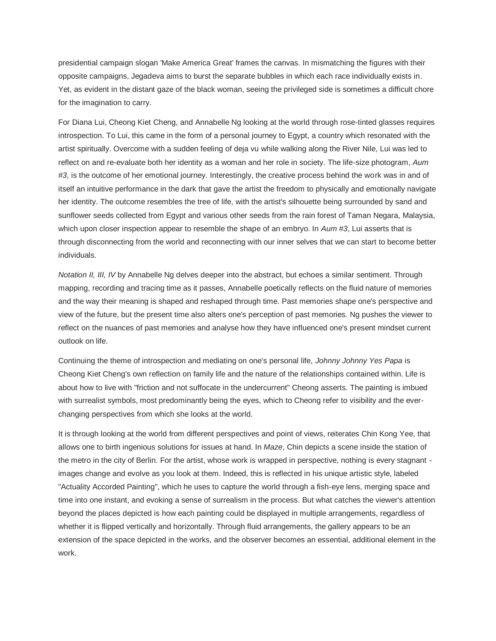presidential campaign slogan 'Make America Great' frames the canvas. In mismatching the figures with their opposite campaigns, Jegadeva aims to burst the separate bubbles in which each race individually exists in. Yet, as evident in the distant gaze of the black woman, seeing the privileged side is sometimes a difficult chore for the imagination to carry.

For Diana Lui, Cheong Kiet Cheng, and Annabelle Ng looking at the world through rose-tinted glasses requires introspection. To Lui, this came in the form of a personal journey to Egypt, a country which resonated with the artist spiritually. Overcome with a sudden feeling of deja vu while walking along the River Nile, Lui was led to reflect on and re-evaluate both her identity as a woman and her role in society. The life-size photogram, *Aum #3*, is the outcome of her emotional journey. Interestingly, the creative process behind the work was in and of itself an intuitive performance in the dark that gave the artist the freedom to physically and emotionally navigate her identity. The outcome resembles the tree of life, with the artist's silhouette being surrounded by sand and sunflower seeds collected from Egypt and various other seeds from the rain forest of Taman Negara, Malaysia, which upon closer inspection appear to resemble the shape of an embryo. In *Aum #3*, Lui asserts that is through disconnecting from the world and reconnecting with our inner selves that we can start to become better individuals.

*Notation II, III, IV* by Annabelle Ng delves deeper into the abstract, but echoes a similar sentiment. Through mapping, recording and tracing time as it passes, Annabelle poetically reflects on the fluid nature of memories and the way their meaning is shaped and reshaped through time. Past memories shape one's perspective and view of the future, but the present time also alters one's perception of past memories. Ng pushes the viewer to reflect on the nuances of past memories and analyse how they have influenced one's present mindset current outlook on life.

Continuing the theme of introspection and mediating on one's personal life, *Johnny Johnny Yes Papa* is Cheong Kiet Cheng's own reflection on family life and the nature of the relationships contained within. Life is about how to live with "friction and not suffocate in the undercurrent" Cheong asserts. The painting is imbued with surrealist symbols, most predominantly being the eyes, which to Cheong refer to visibility and the everchanging perspectives from which she looks at the world.

It is through looking at the world from different perspectives and point of views, reiterates Chin Kong Yee, that allows one to birth ingenious solutions for issues at hand. In *Maze*, Chin depicts a scene inside the station of the metro in the city of Berlin. For the artist, whose work is wrapped in perspective, nothing is every stagnant images change and evolve as you look at them. Indeed, this is reflected in his unique artistic style, labeled "Actuality Accorded Painting", which he uses to capture the world through a fish-eye lens, merging space and time into one instant, and evoking a sense of surrealism in the process. But what catches the viewer's attention beyond the places depicted is how each painting could be displayed in multiple arrangements, regardless of whether it is flipped vertically and horizontally. Through fluid arrangements, the gallery appears to be an extension of the space depicted in the works, and the observer becomes an essential, additional element in the work.